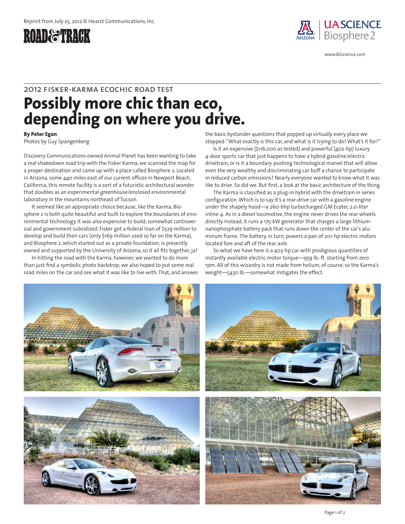



www.B2science.com

## **Possibly more chic than eco, depending on where you drive.** 2012 f isker-karma ecochic road test

**By Peter Egan**

Photos by Guy Spangenberg

Discovery Communications-owned Animal Planet has been wanting to take a real shakedown road trip with the Fisker Karma, we scanned the map for a proper destination and came up with a place called Biosphere 2. Located in Arizona, some 440 miles east of our current offices in Newport Beach, California, this remote facility is a sort of a futuristic architectural wonder that doubles as an experimental greenhouse/enclosed environmental laboratory in the mountains northeast of Tucson.

It seemed like an appropriate choice because, like the Karma, Biosphere 2 is both quite beautiful and built to explore the boundaries of environmental technology. It was also expensive to build, somewhat controversial and government subsidized. Fisker got a federal loan of \$529 million to develop and build their cars (only \$169 million used so far on the Karma), and Biosphere 2, which started out as a private foundation, is presently owned and supported by the University of Arizona, so it all fits together, ja?

In hitting the road with the Karma, however, we wanted to do more than just find a symbolic photo backdrop; we also hoped to put some real road miles on the car and see what it was like to live with. That, and answer the basic bystander questions that popped up virtually every place we stopped: "What exactly is this car, and what is it trying to do? What's it for?"

Is it an expensive (\$116,000 as tested) and powerful (402-hp) luxury 4-door sports car that just happens to have a hybrid gasoline/electric drivetrain, or is it a boundary-pushing technological marvel that will allow even the very wealthy and discriminating car buff a chance to participate in reduced carbon emissions? Nearly everyone wanted to know what it was like to drive. So did we. But first, a look at the basic architecture of the thing.

The Karma is classified as a plug-in hybrid with the drivetrain in series configuration. Which is to say it's a rear-drive car with a gasoline engine under the shapely hood—a 260-bhp turbocharged GM Ecotec 2.0-liter inline-4. As in a diesel locomotive, the engine never drives the rear wheels directly. Instead, it runs a 175-kW generator that charges a large lithiumnanophosphate battery pack that runs down the center of the car's aluminum frame. The battery, in turn, powers a pair of 201-hp electric motors located fore and aft of the rear axle.

So what we have here is a 403-hp car with prodigious quantities of instantly available electric motor torque—959 lb.-ft. starting from zero rpm. All of this wizardry is not made from helium, of course, so the Karma's weight—5430 lb.—somewhat mitigates the effect.